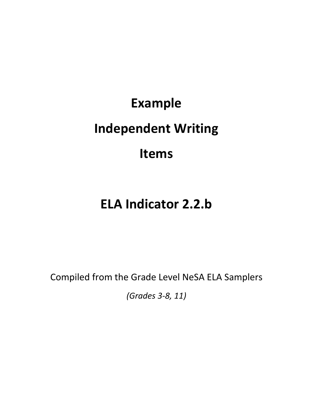# **Example Independent Writing Items**

## **ELA Indicator 2.2.b**

Compiled from the Grade Level NeSA ELA Samplers

*(Grades 3-8, 11)*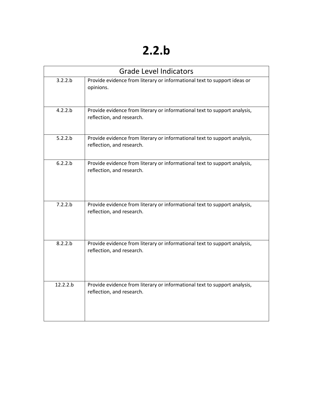### **2.2.b**

| <b>Grade Level Indicators</b> |                                                                                                        |  |  |  |
|-------------------------------|--------------------------------------------------------------------------------------------------------|--|--|--|
| 3.2.2.b                       | Provide evidence from literary or informational text to support ideas or<br>opinions.                  |  |  |  |
| 4.2.2.b                       | Provide evidence from literary or informational text to support analysis,<br>reflection, and research. |  |  |  |
| 5.2.2.b                       | Provide evidence from literary or informational text to support analysis,<br>reflection, and research. |  |  |  |
| 6.2.2.b                       | Provide evidence from literary or informational text to support analysis,<br>reflection, and research. |  |  |  |
| 7.2.2.b                       | Provide evidence from literary or informational text to support analysis,<br>reflection, and research. |  |  |  |
| 8.2.2.b                       | Provide evidence from literary or informational text to support analysis,<br>reflection, and research. |  |  |  |
| 12.2.2.b                      | Provide evidence from literary or informational text to support analysis,<br>reflection, and research. |  |  |  |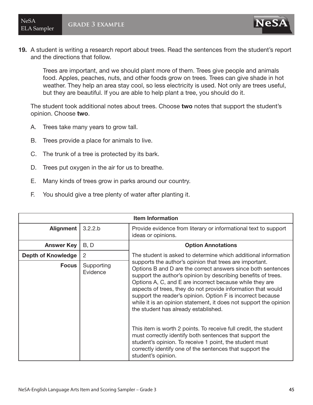ELA Sampler **grade 3 example**



19. A student is writing a research report about trees. Read the sentences from the student's report and the directions that follow.

Trees are important, and we should plant more of them. Trees give people and animals food. Apples, peaches, nuts, and other foods grow on trees. Trees can give shade in hot weather. They help an area stay cool, so less electricity is used. Not only are trees useful, but they are beautiful. If you are able to help plant a tree, you should do it.

The student took additional notes about trees. Choose two notes that support the student's opinion. Choose two.

- A. Trees take many years to grow tall.
- B. Trees provide a place for animals to live.
- C. The trunk of a tree is protected by its bark.
- D. Trees put oxygen in the air for us to breathe.
- E. Many kinds of trees grow in parks around our country.
- F. You should give a tree plenty of water after planting it.

| <b>Item Information</b>   |                        |                                                                                                                                                                                                                                                                                                                                                                                                                                                                                                                                                                                                                                                                                                                                                                              |  |  |  |
|---------------------------|------------------------|------------------------------------------------------------------------------------------------------------------------------------------------------------------------------------------------------------------------------------------------------------------------------------------------------------------------------------------------------------------------------------------------------------------------------------------------------------------------------------------------------------------------------------------------------------------------------------------------------------------------------------------------------------------------------------------------------------------------------------------------------------------------------|--|--|--|
| <b>Alignment</b>          | 3.2.2.b                | Provide evidence from literary or informational text to support<br>ideas or opinions.                                                                                                                                                                                                                                                                                                                                                                                                                                                                                                                                                                                                                                                                                        |  |  |  |
| <b>Answer Key</b>         | B, D                   | <b>Option Annotations</b>                                                                                                                                                                                                                                                                                                                                                                                                                                                                                                                                                                                                                                                                                                                                                    |  |  |  |
| <b>Depth of Knowledge</b> | 2                      | The student is asked to determine which additional information                                                                                                                                                                                                                                                                                                                                                                                                                                                                                                                                                                                                                                                                                                               |  |  |  |
| <b>Focus</b>              | Supporting<br>Evidence | supports the author's opinion that trees are important.<br>Options B and D are the correct answers since both sentences<br>support the author's opinion by describing benefits of trees.<br>Options A, C, and E are incorrect because while they are<br>aspects of trees, they do not provide information that would<br>support the reader's opinion. Option F is incorrect because<br>while it is an opinion statement, it does not support the opinion<br>the student has already established.<br>This item is worth 2 points. To receive full credit, the student<br>must correctly identify both sentences that support the<br>student's opinion. To receive 1 point, the student must<br>correctly identify one of the sentences that support the<br>student's opinion. |  |  |  |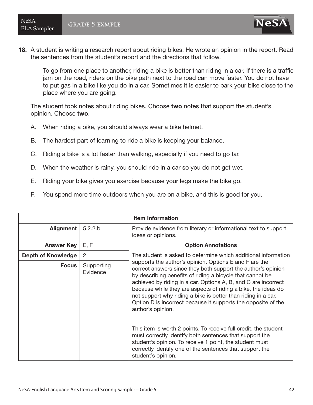18. A student is writing a research report about riding bikes. He wrote an opinion in the report. Read the sentences from the student's report and the directions that follow.

To go from one place to another, riding a bike is better than riding in a car. If there is a traffic jam on the road, riders on the bike path next to the road can move faster. You do not have to put gas in a bike like you do in a car. Sometimes it is easier to park your bike close to the place where you are going.

The student took notes about riding bikes. Choose two notes that support the student's opinion. Choose two.

- A. When riding a bike, you should always wear a bike helmet.
- B. The hardest part of learning to ride a bike is keeping your balance.
- C. Riding a bike is a lot faster than walking, especially if you need to go far.
- D. When the weather is rainy, you should ride in a car so you do not get wet.
- E. Riding your bike gives you exercise because your legs make the bike go.
- F. You spend more time outdoors when you are on a bike, and this is good for you.

| <b>Item Information</b>   |                        |                                                                                                                                                                                                                                                                                                                                                                                                                                                                               |  |  |  |
|---------------------------|------------------------|-------------------------------------------------------------------------------------------------------------------------------------------------------------------------------------------------------------------------------------------------------------------------------------------------------------------------------------------------------------------------------------------------------------------------------------------------------------------------------|--|--|--|
| Alignment                 | 5.2.2.b                | Provide evidence from literary or informational text to support<br>ideas or opinions.                                                                                                                                                                                                                                                                                                                                                                                         |  |  |  |
| <b>Answer Key</b>         | E, F                   | <b>Option Annotations</b>                                                                                                                                                                                                                                                                                                                                                                                                                                                     |  |  |  |
| <b>Depth of Knowledge</b> | 2                      | The student is asked to determine which additional information                                                                                                                                                                                                                                                                                                                                                                                                                |  |  |  |
| <b>Focus</b>              | Supporting<br>Evidence | supports the author's opinion. Options E and F are the<br>correct answers since they both support the author's opinion<br>by describing benefits of riding a bicycle that cannot be<br>achieved by riding in a car. Options A, B, and C are incorrect<br>because while they are aspects of riding a bike, the ideas do<br>not support why riding a bike is better than riding in a car.<br>Option D is incorrect because it supports the opposite of the<br>author's opinion. |  |  |  |
|                           |                        | This item is worth 2 points. To receive full credit, the student<br>must correctly identify both sentences that support the<br>student's opinion. To receive 1 point, the student must<br>correctly identify one of the sentences that support the<br>student's opinion.                                                                                                                                                                                                      |  |  |  |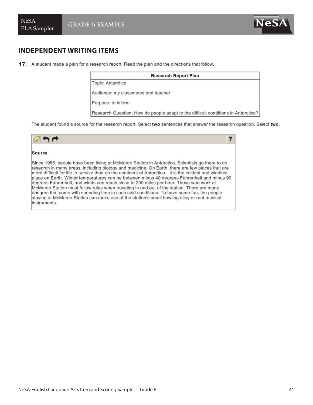### **INDEPENDENT WRITING ITEMS**

17. A student made a plan for a research report. Read the plan and the directions that follow.

| <b>Research Report Plan</b>                                                       |  |  |
|-----------------------------------------------------------------------------------|--|--|
| Topic: Antarctica                                                                 |  |  |
| Audience: my classmates and teacher                                               |  |  |
| Purpose: to inform                                                                |  |  |
| Research Question: How do people adapt to the difficult conditions in Antarctica? |  |  |

The student found a source for the research report. Select two sentences that answer the research question. Select two.